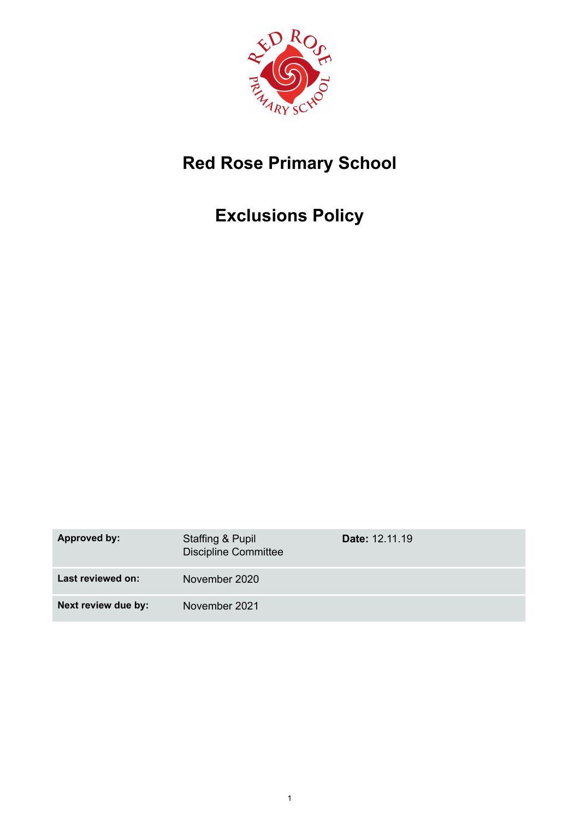

# **Red Rose Primary School**

# **Exclusions Policy**

| <b>Approved by:</b> | Staffing & Pupil<br><b>Discipline Committee</b> | <b>Date: 12.11.19</b> |
|---------------------|-------------------------------------------------|-----------------------|
| Last reviewed on:   | November 2020                                   |                       |
| Next review due by: | November 2021                                   |                       |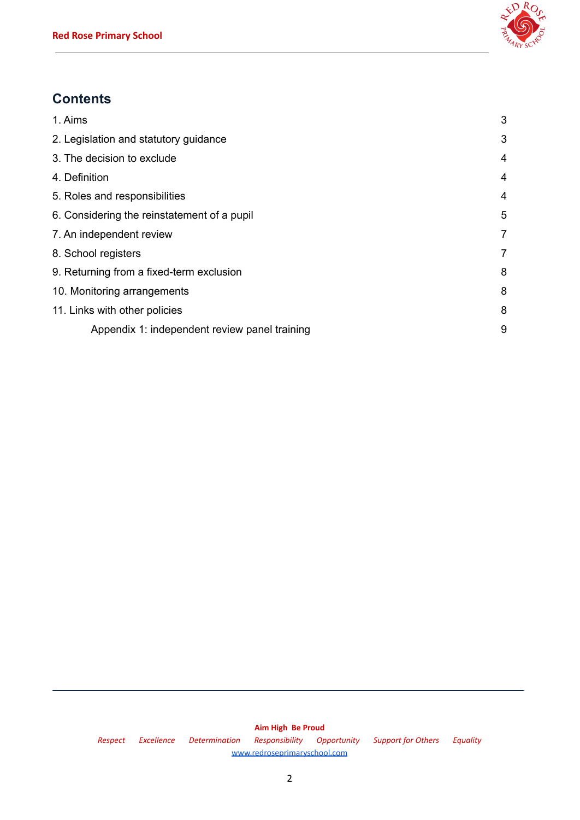

# **Contents**

| 1. Aims                                       | 3              |
|-----------------------------------------------|----------------|
| 2. Legislation and statutory guidance         | 3              |
| 3. The decision to exclude                    | 4              |
| 4. Definition                                 | 4              |
| 5. Roles and responsibilities                 | 4              |
| 6. Considering the reinstatement of a pupil   | 5              |
| 7. An independent review                      | $\overline{7}$ |
| 8. School registers                           | $\overline{7}$ |
| 9. Returning from a fixed-term exclusion      | 8              |
| 10. Monitoring arrangements                   | 8              |
| 11. Links with other policies                 | 8              |
| Appendix 1: independent review panel training | 9              |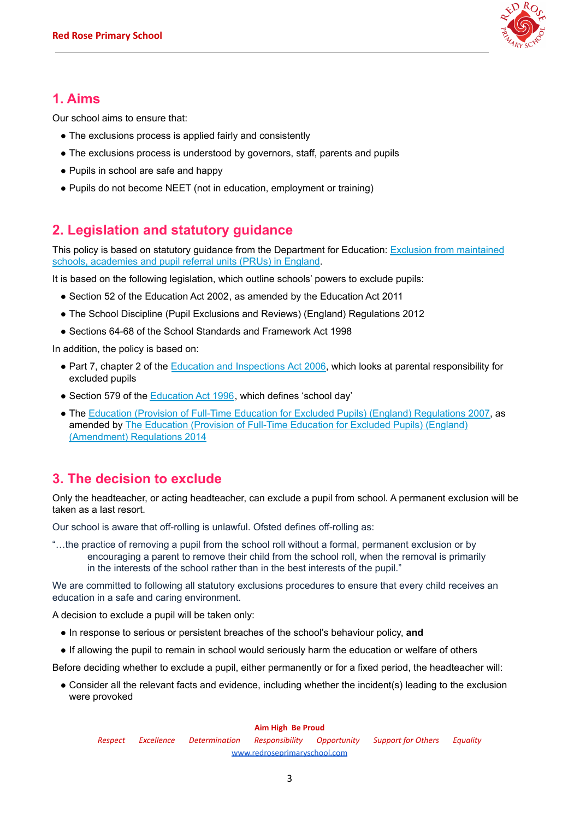

## **1. Aims**

Our school aims to ensure that:

- The exclusions process is applied fairly and consistently
- The exclusions process is understood by governors, staff, parents and pupils
- Pupils in school are safe and happy
- <span id="page-2-0"></span>• Pupils do not become NEET (not in education, employment or training)

# **2. Legislation and statutory guidance**

This policy is based on statutory guidance from the Department for Education: Exclusion from [maintained](https://www.gov.uk/government/publications/school-exclusion) schools, [academies](https://www.gov.uk/government/publications/school-exclusion) and pupil referral units (PRUs) in England.

It is based on the following legislation, which outline schools' powers to exclude pupils:

- Section 52 of the [Education](http://www.legislation.gov.uk/ukpga/2002/32/section/52) Act 2002, as amended by the [Education](http://www.legislation.gov.uk/ukpga/2011/21/contents/enacted) Act 2011
- The School Discipline (Pupil Exclusions and Reviews) (England) [Regulations](http://www.legislation.gov.uk/uksi/2012/1033/made) 2012
- Sections 64-68 of the School Standards and [Framework](http://www.legislation.gov.uk/ukpga/1998/31) Act 1998

In addition, the policy is based on:

- Part 7, chapter 2 of the Education and [Inspections](http://www.legislation.gov.uk/ukpga/2006/40/part/7/chapter/2) Act 2006, which looks at parental responsibility for excluded pupils
- Section 579 of the [Education](http://www.legislation.gov.uk/ukpga/1996/56/section/579) Act 1996, which defines 'school day'
- <span id="page-2-1"></span>• The Education (Provision of Full-Time Education for Excluded Pupils) (England) [Regulations](http://www.legislation.gov.uk/uksi/2007/1870/contents/made) 2007, as amended by The Education (Provision of Full-Time [Education](http://www.legislation.gov.uk/uksi/2014/3216/contents/made) for Excluded Pupils) (England) [\(Amendment\)](http://www.legislation.gov.uk/uksi/2014/3216/contents/made) Regulations 2014

# **3. The decision to exclude**

Only the headteacher, or acting headteacher, can exclude a pupil from school. A permanent exclusion will be taken as a last resort.

Our school is aware that off-rolling is unlawful. Ofsted defines off-rolling as:

"…the practice of removing a pupil from the school roll without a formal, permanent exclusion or by encouraging a parent to remove their child from the school roll, when the removal is primarily in the interests of the school rather than in the best interests of the pupil."

We are committed to following all statutory exclusions procedures to ensure that every child receives an education in a safe and caring environment.

A decision to exclude a pupil will be taken only:

- In response to serious or persistent breaches of the school's behaviour policy, **and**
- If allowing the pupil to remain in school would seriously harm the education or welfare of others

Before deciding whether to exclude a pupil, either permanently or for a fixed period, the headteacher will:

● Consider all the relevant facts and evidence, including whether the incident(s) leading to the exclusion were provoked

#### **Aim High Be Proud**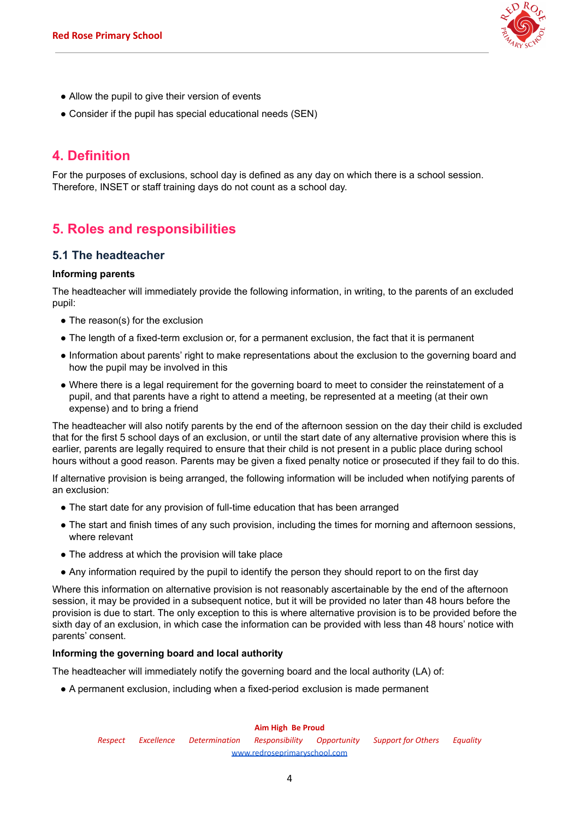

- Allow the pupil to give their version of events
- <span id="page-3-0"></span>• Consider if the pupil has special educational needs (SEN)

## **4. Definition**

<span id="page-3-1"></span>For the purposes of exclusions, school day is defined as any day on which there is a school session. Therefore, INSET or staff training days do not count as a school day.

## **5. Roles and responsibilities**

### **5.1 The headteacher**

### **Informing parents**

The headteacher will immediately provide the following information, in writing, to the parents of an excluded pupil:

- The reason(s) for the exclusion
- The length of a fixed-term exclusion or, for a permanent exclusion, the fact that it is permanent
- Information about parents' right to make representations about the exclusion to the governing board and how the pupil may be involved in this
- Where there is a legal requirement for the governing board to meet to consider the reinstatement of a pupil, and that parents have a right to attend a meeting, be represented at a meeting (at their own expense) and to bring a friend

The headteacher will also notify parents by the end of the afternoon session on the day their child is excluded that for the first 5 school days of an exclusion, or until the start date of any alternative provision where this is earlier, parents are legally required to ensure that their child is not present in a public place during school hours without a good reason. Parents may be given a fixed penalty notice or prosecuted if they fail to do this.

If alternative provision is being arranged, the following information will be included when notifying parents of an exclusion:

- The start date for any provision of full-time education that has been arranged
- The start and finish times of any such provision, including the times for morning and afternoon sessions, where relevant
- The address at which the provision will take place
- Any information required by the pupil to identify the person they should report to on the first day

Where this information on alternative provision is not reasonably ascertainable by the end of the afternoon session, it may be provided in a subsequent notice, but it will be provided no later than 48 hours before the provision is due to start. The only exception to this is where alternative provision is to be provided before the sixth day of an exclusion, in which case the information can be provided with less than 48 hours' notice with parents' consent.

### **Informing the governing board and local authority**

The headteacher will immediately notify the governing board and the local authority (LA) of:

● A permanent exclusion, including when a fixed-period exclusion is made permanent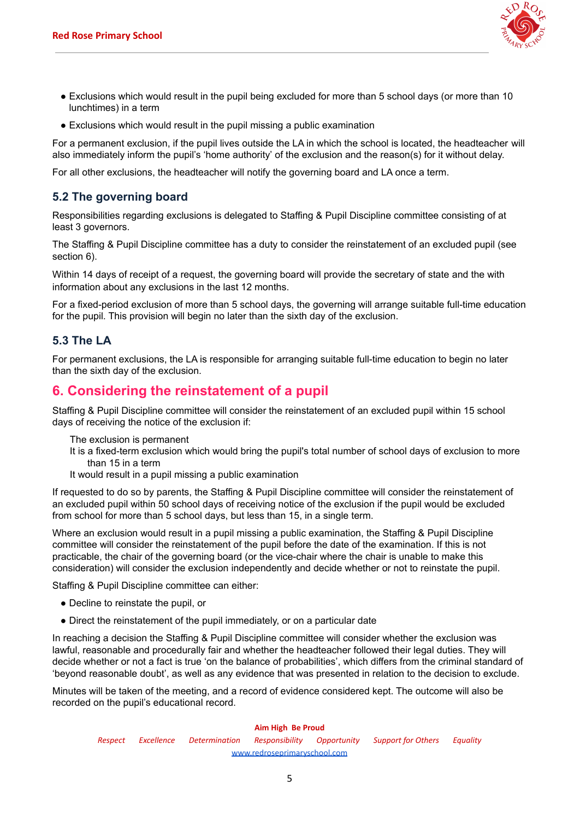

- Exclusions which would result in the pupil being excluded for more than 5 school days (or more than 10 lunchtimes) in a term
- Exclusions which would result in the pupil missing a public examination

For a permanent exclusion, if the pupil lives outside the LA in which the school is located, the headteacher will also immediately inform the pupil's 'home authority' of the exclusion and the reason(s) for it without delay.

For all other exclusions, the headteacher will notify the governing board and LA once a term.

## **5.2 The governing board**

Responsibilities regarding exclusions is delegated to Staffing & Pupil Discipline committee consisting of at least 3 governors.

The Staffing & Pupil Discipline committee has a duty to consider the reinstatement of an excluded pupil (see section 6).

Within 14 days of receipt of a request, the governing board will provide the secretary of state and the with information about any exclusions in the last 12 months.

For a fixed-period exclusion of more than 5 school days, the governing will arrange suitable full-time education for the pupil. This provision will begin no later than the sixth day of the exclusion.

## **5.3 The LA**

<span id="page-4-0"></span>For permanent exclusions, the LA is responsible for arranging suitable full-time education to begin no later than the sixth day of the exclusion.

## **6. Considering the reinstatement of a pupil**

Staffing & Pupil Discipline committee will consider the reinstatement of an excluded pupil within 15 school days of receiving the notice of the exclusion if:

The exclusion is permanent

- It is a fixed-term exclusion which would bring the pupil's total number of school days of exclusion to more than 15 in a term
- It would result in a pupil missing a public examination

If requested to do so by parents, the Staffing & Pupil Discipline committee will consider the reinstatement of an excluded pupil within 50 school days of receiving notice of the exclusion if the pupil would be excluded from school for more than 5 school days, but less than 15, in a single term.

Where an exclusion would result in a pupil missing a public examination, the Staffing & Pupil Discipline committee will consider the reinstatement of the pupil before the date of the examination. If this is not practicable, the chair of the governing board (or the vice-chair where the chair is unable to make this consideration) will consider the exclusion independently and decide whether or not to reinstate the pupil.

Staffing & Pupil Discipline committee can either:

- Decline to reinstate the pupil, or
- Direct the reinstatement of the pupil immediately, or on a particular date

In reaching a decision the Staffing & Pupil Discipline committee will consider whether the exclusion was lawful, reasonable and procedurally fair and whether the headteacher followed their legal duties. They will decide whether or not a fact is true 'on the balance of probabilities', which differs from the criminal standard of 'beyond reasonable doubt', as well as any evidence that was presented in relation to the decision to exclude.

Minutes will be taken of the meeting, and a record of evidence considered kept. The outcome will also be recorded on the pupil's educational record.

#### **Aim High Be Proud**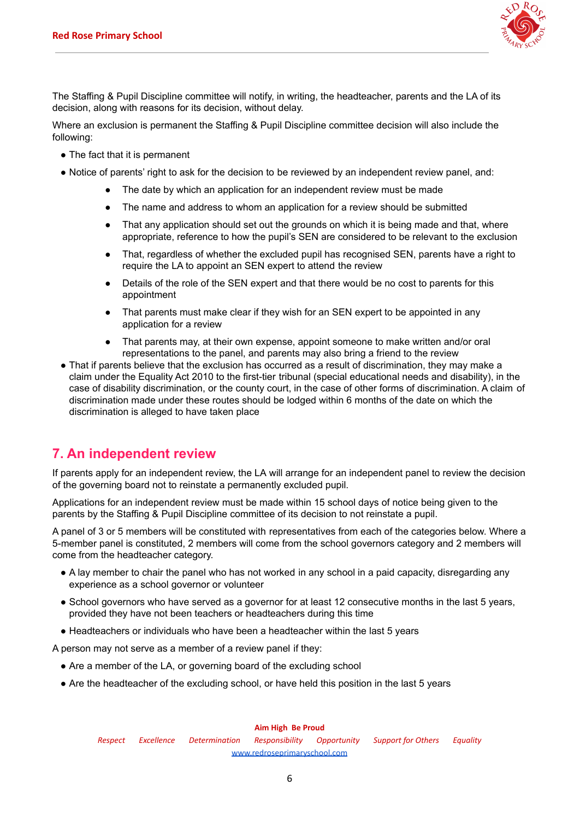

The Staffing & Pupil Discipline committee will notify, in writing, the headteacher, parents and the LA of its decision, along with reasons for its decision, without delay.

Where an exclusion is permanent the Staffing & Pupil Discipline committee decision will also include the following:

- The fact that it is permanent
- Notice of parents' right to ask for the decision to be reviewed by an independent review panel, and:
	- The date by which an application for an independent review must be made
	- The name and address to whom an application for a review should be submitted
	- That any application should set out the grounds on which it is being made and that, where appropriate, reference to how the pupil's SEN are considered to be relevant to the exclusion
	- That, regardless of whether the excluded pupil has recognised SEN, parents have a right to require the LA to appoint an SEN expert to attend the review
	- Details of the role of the SEN expert and that there would be no cost to parents for this appointment
	- That parents must make clear if they wish for an SEN expert to be appointed in any application for a review
	- That parents may, at their own expense, appoint someone to make written and/or oral representations to the panel, and parents may also bring a friend to the review
- That if parents believe that the exclusion has occurred as a result of discrimination, they may make a claim under the Equality Act 2010 to the first-tier tribunal (special educational needs and disability), in the case of disability discrimination, or the county court, in the case of other forms of discrimination. A claim of discrimination made under these routes should be lodged within 6 months of the date on which the discrimination is alleged to have taken place

## <span id="page-5-0"></span>**7. An independent review**

If parents apply for an independent review, the LA will arrange for an independent panel to review the decision of the governing board not to reinstate a permanently excluded pupil.

Applications for an independent review must be made within 15 school days of notice being given to the parents by the Staffing & Pupil Discipline committee of its decision to not reinstate a pupil.

A panel of 3 or 5 members will be constituted with representatives from each of the categories below. Where a 5-member panel is constituted, 2 members will come from the school governors category and 2 members will come from the headteacher category.

- A lay member to chair the panel who has not worked in any school in a paid capacity, disregarding any experience as a school governor or volunteer
- School governors who have served as a governor for at least 12 consecutive months in the last 5 years, provided they have not been teachers or headteachers during this time
- Headteachers or individuals who have been a headteacher within the last 5 years

A person may not serve as a member of a review panel if they:

- Are a member of the LA, or governing board of the excluding school
- Are the headteacher of the excluding school, or have held this position in the last 5 years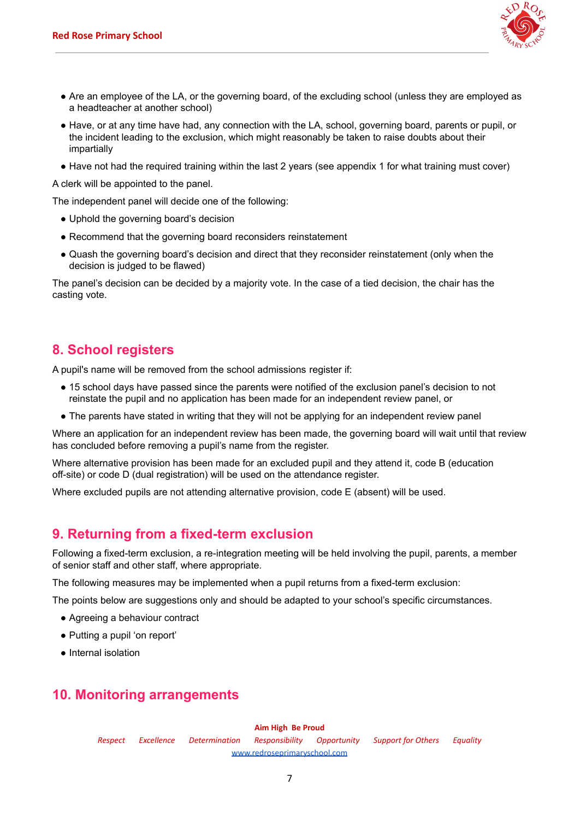

- Are an employee of the LA, or the governing board, of the excluding school (unless they are employed as a headteacher at another school)
- Have, or at any time have had, any connection with the LA, school, governing board, parents or pupil, or the incident leading to the exclusion, which might reasonably be taken to raise doubts about their impartially
- Have not had the required training within the last 2 years (see appendix 1 for what training must cover)

A clerk will be appointed to the panel.

The independent panel will decide one of the following:

- Uphold the governing board's decision
- Recommend that the governing board reconsiders reinstatement
- Quash the governing board's decision and direct that they reconsider reinstatement (only when the decision is judged to be flawed)

The panel's decision can be decided by a majority vote. In the case of a tied decision, the chair has the casting vote.

## <span id="page-6-0"></span>**8. School registers**

A pupil's name will be removed from the school admissions register if:

- 15 school days have passed since the parents were notified of the exclusion panel's decision to not reinstate the pupil and no application has been made for an independent review panel, or
- The parents have stated in writing that they will not be applying for an independent review panel

Where an application for an independent review has been made, the governing board will wait until that review has concluded before removing a pupil's name from the register.

Where alternative provision has been made for an excluded pupil and they attend it, code B (education off-site) or code D (dual registration) will be used on the attendance register.

<span id="page-6-1"></span>Where excluded pupils are not attending alternative provision, code E (absent) will be used.

## **9. Returning from a fixed-term exclusion**

Following a fixed-term exclusion, a re-integration meeting will be held involving the pupil, parents, a member of senior staff and other staff, where appropriate.

The following measures may be implemented when a pupil returns from a fixed-term exclusion:

The points below are suggestions only and should be adapted to your school's specific circumstances.

- Agreeing a behaviour contract
- Putting a pupil 'on report'
- <span id="page-6-2"></span>● Internal isolation

## **10. Monitoring arrangements**

#### **Aim High Be Proud**

*Respect Excellence Determination Responsibility Opportunity Support for Others Equality* [www.redroseprimaryschool.com](http://www.redroseprimaryschool.com)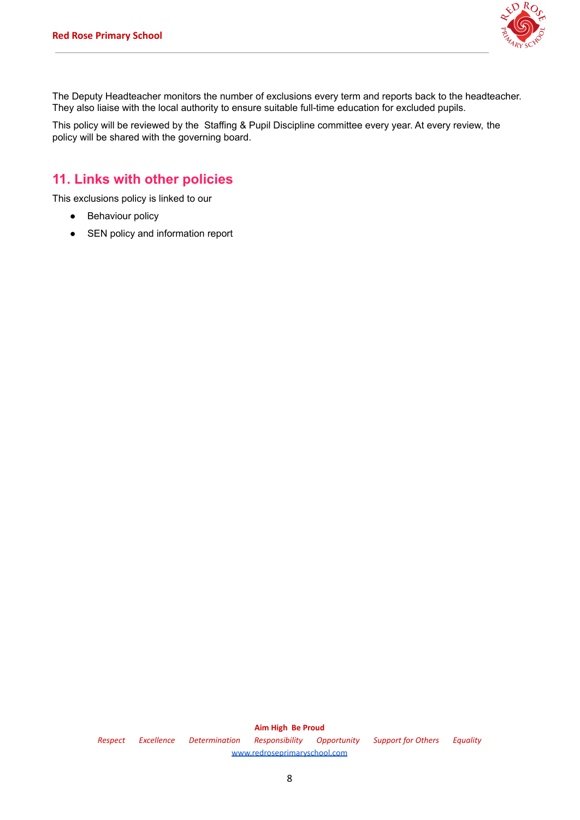

The Deputy Headteacher monitors the number of exclusions every term and reports back to the headteacher. They also liaise with the local authority to ensure suitable full-time education for excluded pupils.

<span id="page-7-0"></span>This policy will be reviewed by the Staffing & Pupil Discipline committee every year. At every review, the policy will be shared with the governing board.

## **11. Links with other policies**

This exclusions policy is linked to our

- Behaviour policy
- SEN policy and information report